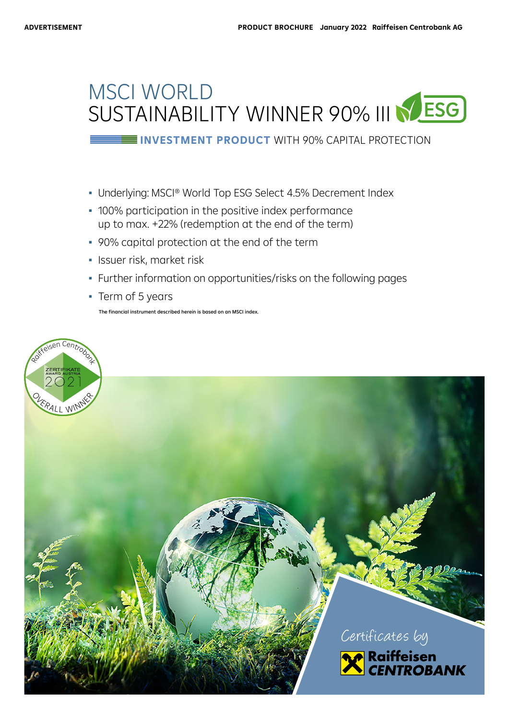# MSCI WORLD SUSTAINABILITY WINNER 90% III NESG

**INVESTMENT PRODUCT** WITH 90% CAPITAL PROTECTION

- Underlying: MSCI® World Top ESG Select 4.5% Decrement Index
- 100% participation in the positive index performance up to max. +22% (redemption at the end of the term)
- 90% capital protection at the end of the term
- Issuer risk, market risk
- Further information on opportunities/risks on the following pages
- Term of 5 years

The financial instrument described herein is based on an MSCI index.

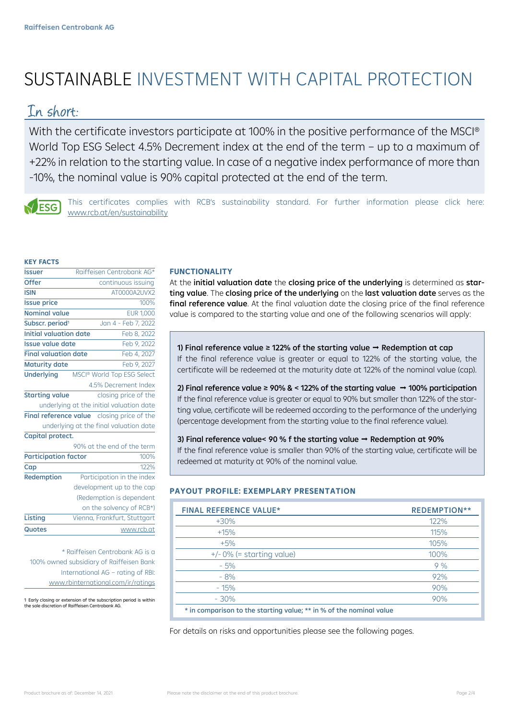# SUSTAINABLE INVESTMENT WITH CAPITAL PROTECTION

### In short:

With the certificate investors participate at 100% in the positive performance of the MSCI<sup>®</sup> World Top ESG Select 4.5% Decrement index at the end of the term – up to a maximum of +22% in relation to the starting value. In case of a negative index performance of more than -10%, the nominal value is 90% capital protected at the end of the term.



This certificates complies with RCB's sustainability standard. For further information please click here: www.rcb.at/en/sustainability

#### **KEY FACTS**

| <b>Issuer</b>                                        | Raiffeisen Centrobank AG*    |  |  |  |
|------------------------------------------------------|------------------------------|--|--|--|
| <b>Offer</b>                                         | continuous issuing           |  |  |  |
| <b>ISIN</b>                                          | AT0000A2UVX2                 |  |  |  |
| <b>Issue price</b>                                   | 100%                         |  |  |  |
| Nominal value                                        | <b>EUR 1,000</b>             |  |  |  |
| Subscr. period <sup>1</sup>                          | Jan 4 - Feb 7, 2022          |  |  |  |
| <b>Initial valuation date</b>                        | Feb 8, 2022                  |  |  |  |
| <b>Issue value date</b>                              | Feb 9, 2022                  |  |  |  |
| <b>Final valuation date</b>                          | Feb 4, 2027                  |  |  |  |
| <b>Maturity date</b>                                 | Feb 9, 2027                  |  |  |  |
| <b>Underlying</b>                                    | MSCI® World Top ESG Select   |  |  |  |
|                                                      | 4.5% Decrement Index         |  |  |  |
| <b>Starting value</b>                                | closing price of the         |  |  |  |
| underlying at the initial valuation date             |                              |  |  |  |
| <b>Final reference value</b><br>closing price of the |                              |  |  |  |
| underlying at the final valuation date               |                              |  |  |  |
| Capital protect.                                     |                              |  |  |  |
|                                                      | 90% at the end of the term   |  |  |  |
| <b>Participation factor</b><br>100%                  |                              |  |  |  |
| Cap                                                  | 122%                         |  |  |  |
| <b>Redemption</b>                                    | Participation in the index   |  |  |  |
|                                                      | development up to the cap    |  |  |  |
|                                                      | (Redemption is dependent     |  |  |  |
|                                                      | on the solvency of RCB*)     |  |  |  |
| Listing                                              | Vienna, Frankfurt, Stuttgart |  |  |  |
| <b>Quotes</b>                                        | www.rcb.at                   |  |  |  |
|                                                      |                              |  |  |  |

\* Raiffeisen Centrobank AG is a 100% owned subsidiary of Raiffeisen Bank International AG – rating of RBI: www.rbinternational.com/ir/ratings

1 Early closing or extension of the subscription period is within the sole discretion of Raiffeisen Centrobank AG.

#### **FUNCTIONALITY**

At the initial valuation date the closing price of the underlying is determined as starting value. The closing price of the underlying on the last valuation date serves as the final reference value. At the final valuation date the closing price of the final reference value is compared to the starting value and one of the following scenarios will apply:

1) Final reference value ≥ 122% of the starting value  $\rightarrow$  Redemption at cap If the final reference value is greater or equal to 122% of the starting value, the certificate will be redeemed at the maturity date at 122% of the nominal value (cap).

2) Final reference value ≥ 90% & < 122% of the starting value  $\rightarrow$  100% participation If the final reference value is greater or equal to 90% but smaller than 122% of the starting value, certificate will be redeemed according to the performance of the underlying (percentage development from the starting value to the final reference value).

### 3) Final reference value< 90 % f the starting value  $\rightarrow$  Redemption at 90%

 $\vert$  redeemed at maturity at 90% of the nominal value. If the final reference value is smaller than 90% of the starting value, certificate will be

#### **PAYOUT PROFILE: EXEMPLARY PRESENTATION**

| <b>FINAL REFERENCE VALUE*</b>                                       | <b>REDEMPTION**</b> |  |
|---------------------------------------------------------------------|---------------------|--|
| $+30%$                                                              | 122%                |  |
| $+15%$                                                              | 115%                |  |
| $+5%$                                                               | 105%                |  |
| $+/-$ 0% (= starting value)                                         | 100%                |  |
| $-5%$                                                               | 9%                  |  |
| $-8%$                                                               | 92%                 |  |
| $-15%$                                                              | 90%                 |  |
| $-30%$                                                              | 90%                 |  |
| * in comparison to the starting value; ** in % of the nominal value |                     |  |

For details on risks and opportunities please see the following pages.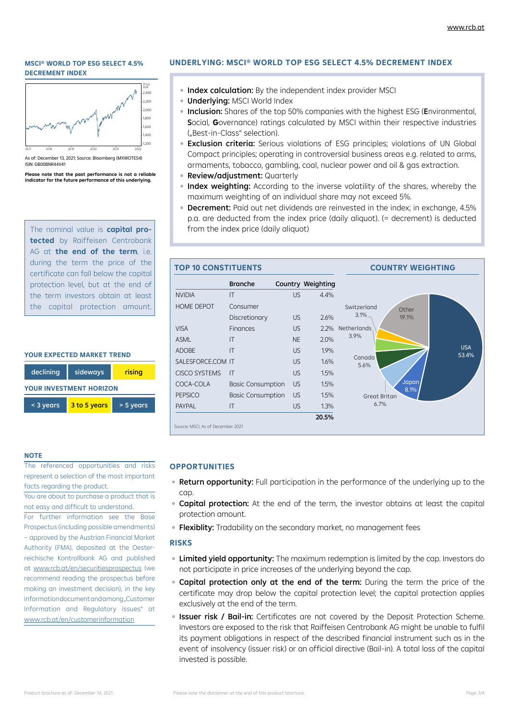#### **MSCI® WORLD TOP ESG SELECT 4.5% DECREMENT INDEX**



As of: December 13, 2021; Source: Bloomberg (MXWOTES4) ISIN: GB00BNR44V41

**Please note that the past performance is not a reliable indicator for the future performance of this underlying.**

The nominal value is **capital protected** by Raiffeisen Centrobank AG at **the end of the term**, i.e. during the term the price of the certificate can fall below the capital protection level, but at the end of the term investors obtain at least the capital protection amount.

#### **YOUR EXPECTED MARKET TREND**



#### **NOTE**

The referenced opportunities and risks represent a selection of the most important facts regarding the product.

You are about to purchase a product that is not easy and difficult to understand.

For further information see the Base Prospectus (including possible amendments) – approved by the Austrian Financial Market Authority (FMA), deposited at the Oesterreichische Kontrollbank AG and published at www.rcb.at/en/securitiesprospectus (we recommend reading the prospectus before making an investment decision), in the key information document and among "Customer Information and Regulatory Issues" at www.rcb.at/en/customerinformation

#### **UNDERLYING: MSCI® WORLD TOP ESG SELECT 4.5% DECREMENT INDEX**

- □ Index calculation: By the independent index provider MSCI
- **Underlying: MSCI World Index**
- **Inclusion:** Shares of the top 50% companies with the highest ESG (Environmental, Social, **G**overnance) ratings calculated by MSCI within their respective industries ("Best-in-Class" selection).
- **Exclusion criteria:** Serious violations of ESG principles; violations of UN Global Compact principles; operating in controversial business areas e.g. related to arms, armaments, tobacco, gambling, coal, nuclear power and oil & gas extraction.
- Review/adjustment: Quarterly
- **Index weighting:** According to the inverse volatility of the shares, whereby the maximum weighting of an individual share may not exceed 5%.
- **Decrement:** Paid out net dividends are reinvested in the index; in exchange, 4.5% p.a. are deducted from the index price (daily aliquot). (= decrement) is deducted from the index price (daily aliquot)



#### **OPPORTUNITIES**

- Return opportunity: Full participation in the performance of the underlying up to the cap.
- **Capital protection:** At the end of the term, the investor obtains at least the capital protection amount.
- □ Flexiblity: Tradability on the secondary market, no management fees

#### **RISKS**

- **Example 2 Limited yield opportunity:** The maximum redemption is limited by the cap. Investors do not participate in price increases of the underlying beyond the cap.
- Capital protection only at the end of the term: During the term the price of the certificate may drop below the capital protection level; the capital protection applies exclusively at the end of the term.
- **Bisuer risk / Bail-in:** Certificates are not covered by the Deposit Protection Scheme. Investors are exposed to the risk that Raiffeisen Centrobank AG might be unable to fulfil its payment obligations in respect of the described financial instrument such as in the event of insolvency (issuer risk) or an official directive (Bail-in). A total loss of the capital invested is possible.